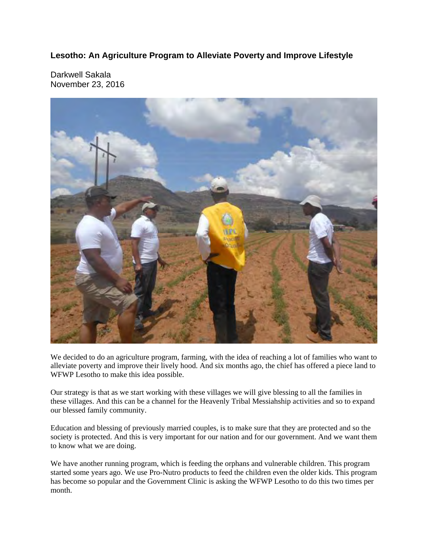## **Lesotho: An Agriculture Program to Alleviate Poverty and Improve Lifestyle**

Darkwell Sakala November 23, 2016



We decided to do an agriculture program, farming, with the idea of reaching a lot of families who want to alleviate poverty and improve their lively hood. And six months ago, the chief has offered a piece land to WFWP Lesotho to make this idea possible.

Our strategy is that as we start working with these villages we will give blessing to all the families in these villages. And this can be a channel for the Heavenly Tribal Messiahship activities and so to expand our blessed family community.

Education and blessing of previously married couples, is to make sure that they are protected and so the society is protected. And this is very important for our nation and for our government. And we want them to know what we are doing.

We have another running program, which is feeding the orphans and vulnerable children. This program started some years ago. We use Pro-Nutro products to feed the children even the older kids. This program has become so popular and the Government Clinic is asking the WFWP Lesotho to do this two times per month.